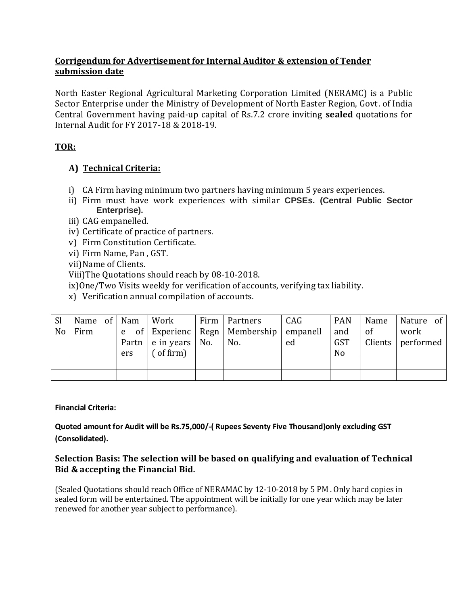## **Corrigendum for Advertisement for Internal Auditor & extension of Tender submission date**

North Easter Regional Agricultural Marketing Corporation Limited (NERAMC) is a Public Sector Enterprise under the Ministry of Development of North Easter Region, Govt. of India Central Government having paid-up capital of Rs.7.2 crore inviting **sealed** quotations for Internal Audit for FY 2017-18 & 2018-19.

# **TOR:**

# **A) Technical Criteria:**

- i) CA Firm having minimum two partners having minimum 5 years experiences.
- ii) Firm must have work experiences with similar **CPSEs. (Central Public Sector Enterprise).**
- iii) CAG empanelled.
- iv) Certificate of practice of partners.
- v) Firm Constitution Certificate.
- vi) Firm Name, Pan , GST.
- vii)Name of Clients.
- Viii)The Quotations should reach by 08-10-2018.
- ix)One/Two Visits weekly for verification of accounts, verifying tax liability.
- x) Verification annual compilation of accounts.

| <sub>Sl</sub> | Name of Nam |     | Work                                 | Firm   Partners                               | CAG | <b>PAN</b>     | Name | Nature of           |
|---------------|-------------|-----|--------------------------------------|-----------------------------------------------|-----|----------------|------|---------------------|
| No            | Firm        |     |                                      | e of Experienc   Regn   Membership   empanell |     | and            | of   | work                |
|               |             |     | Partn $\vert$ e in years $\vert$ No. | No.                                           | ed  | <b>GST</b>     |      | Clients   performed |
|               |             | ers | of firm)                             |                                               |     | N <sub>o</sub> |      |                     |
|               |             |     |                                      |                                               |     |                |      |                     |
|               |             |     |                                      |                                               |     |                |      |                     |

#### **Financial Criteria:**

#### **Quoted amount for Audit will be Rs.75,000/-( Rupees Seventy Five Thousand)only excluding GST (Consolidated).**

### **Selection Basis: The selection will be based on qualifying and evaluation of Technical Bid & accepting the Financial Bid.**

(Sealed Quotations should reach Office of NERAMAC by 12-10-2018 by 5 PM . Only hard copies in sealed form will be entertained. The appointment will be initially for one year which may be later renewed for another year subject to performance).